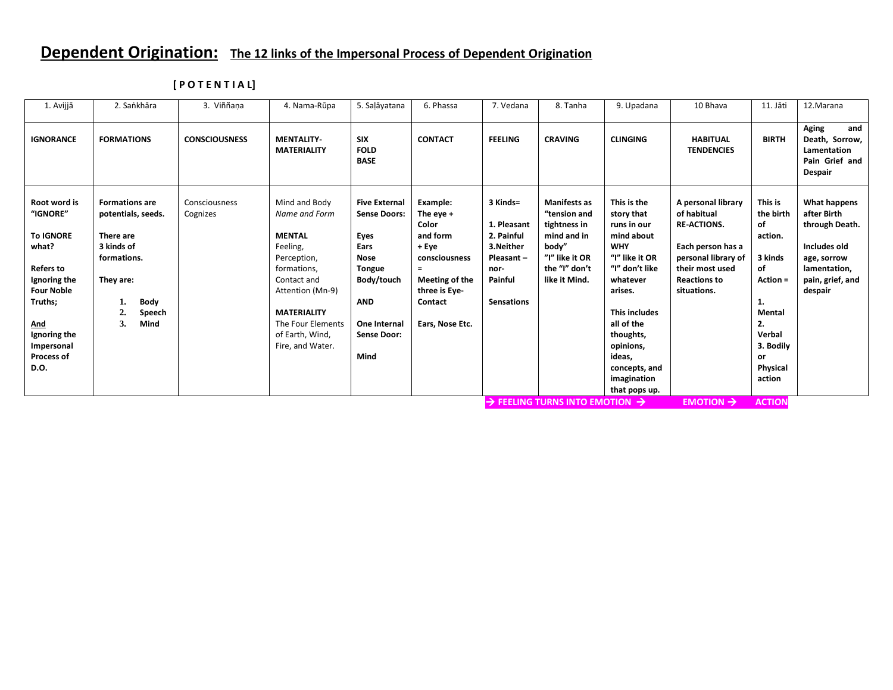## **Dependent Origination: The 12 links of the Impersonal Process of Dependent Origination**

| 1. Avijjā                                                                                                                                                                                          | 2. Sankhāra                                                                                                                                                   | 3. Viññana                | 4. Nama-Rūpa                                                                                                                                                                                                   | 5. Saļāyatana                                                                                                                                                         | 6. Phassa                                                                                                                                           | 7. Vedana                                                                                               | 8. Tanha                                                                                                                        | 9. Upadana                                                                                                                                                                                                                                                 | 10 Bhava                                                                                                                                                     | 11. Jāti                                                                                                                                    | 12. Marana                                                                                                                  |
|----------------------------------------------------------------------------------------------------------------------------------------------------------------------------------------------------|---------------------------------------------------------------------------------------------------------------------------------------------------------------|---------------------------|----------------------------------------------------------------------------------------------------------------------------------------------------------------------------------------------------------------|-----------------------------------------------------------------------------------------------------------------------------------------------------------------------|-----------------------------------------------------------------------------------------------------------------------------------------------------|---------------------------------------------------------------------------------------------------------|---------------------------------------------------------------------------------------------------------------------------------|------------------------------------------------------------------------------------------------------------------------------------------------------------------------------------------------------------------------------------------------------------|--------------------------------------------------------------------------------------------------------------------------------------------------------------|---------------------------------------------------------------------------------------------------------------------------------------------|-----------------------------------------------------------------------------------------------------------------------------|
| <b>IGNORANCE</b>                                                                                                                                                                                   | <b>FORMATIONS</b>                                                                                                                                             | <b>CONSCIOUSNESS</b>      | <b>MENTALITY-</b><br><b>MATERIALITY</b>                                                                                                                                                                        | <b>SIX</b><br><b>FOLD</b><br><b>BASE</b>                                                                                                                              | <b>CONTACT</b>                                                                                                                                      | <b>FEELING</b>                                                                                          | <b>CRAVING</b>                                                                                                                  | <b>CLINGING</b>                                                                                                                                                                                                                                            | <b>HABITUAL</b><br><b>TENDENCIES</b>                                                                                                                         | <b>BIRTH</b>                                                                                                                                | <b>Aging</b><br>and<br>Death, Sorrow,<br>Lamentation<br>Pain Grief and<br>Despair                                           |
| Root word is<br>"IGNORE"<br><b>To IGNORE</b><br>what?<br><b>Refers to</b><br>Ignoring the<br><b>Four Noble</b><br>Truths;<br><u>And</u><br>Ignoring the<br>Impersonal<br><b>Process of</b><br>D.O. | <b>Formations are</b><br>potentials, seeds.<br>There are<br>3 kinds of<br>formations.<br>They are:<br><b>Body</b><br>$\overline{2}$ .<br>Speech<br>3.<br>Mind | Consciousness<br>Cognizes | Mind and Body<br>Name and Form<br><b>MENTAL</b><br>Feeling,<br>Perception,<br>formations,<br>Contact and<br>Attention (Mn-9)<br><b>MATERIALITY</b><br>The Four Elements<br>of Earth, Wind,<br>Fire, and Water. | <b>Five External</b><br><b>Sense Doors:</b><br>Eyes<br>Ears<br><b>Nose</b><br><b>Tongue</b><br>Body/touch<br><b>AND</b><br>One Internal<br><b>Sense Door:</b><br>Mind | Example:<br>The eye $+$<br>Color<br>and form<br>+ Eye<br>consciousness<br>$\equiv$<br>Meeting of the<br>three is Eye-<br>Contact<br>Ears, Nose Etc. | 3 Kinds=<br>1. Pleasant<br>2. Painful<br>3.Neither<br>Pleasant-<br>nor-<br>Painful<br><b>Sensations</b> | <b>Manifests as</b><br>"tension and<br>tightness in<br>mind and in<br>body"<br>"I" like it OR<br>the "I" don't<br>like it Mind. | This is the<br>story that<br>runs in our<br>mind about<br><b>WHY</b><br>"I" like it OR<br>"I" don't like<br>whatever<br>arises.<br><b>This includes</b><br>all of the<br>thoughts,<br>opinions,<br>ideas,<br>concepts, and<br>imagination<br>that pops up. | A personal library<br>of habitual<br><b>RE-ACTIONS.</b><br>Each person has a<br>personal library of<br>their most used<br><b>Reactions to</b><br>situations. | This is<br>the birth<br>of<br>action.<br>3 kinds<br>of<br>Action =<br>1.<br>Mental<br>2.<br>Verbal<br>3. Bodily<br>or<br>Physical<br>action | What happens<br>after Birth<br>through Death.<br>Includes old<br>age, sorrow<br>lamentation,<br>pain, grief, and<br>despair |
|                                                                                                                                                                                                    |                                                                                                                                                               |                           |                                                                                                                                                                                                                |                                                                                                                                                                       |                                                                                                                                                     |                                                                                                         | $\rightarrow$ Feeling turns into emotion $\rightarrow$                                                                          |                                                                                                                                                                                                                                                            | <b>EMOTION</b> $\rightarrow$                                                                                                                                 | <b>ACTION</b>                                                                                                                               |                                                                                                                             |